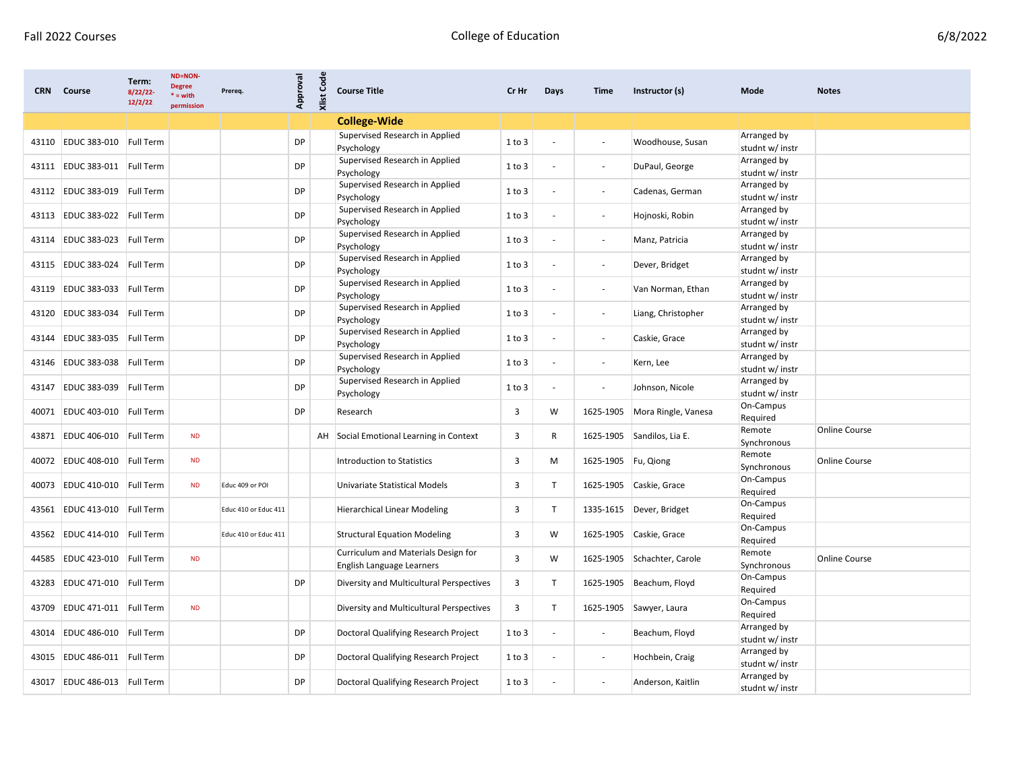| <b>CRN</b> | Course                       | Term:<br>8/22/22<br>12/2/22 | <b>ND=NON-</b><br><b>Degree</b><br>$* = with$<br>permission | Prereq.              | Approval  | Code<br>Xlist | <b>Course Title</b>                                              | Cr Hr      | Days                     | Time                     | Instructor (s)           | Mode                           | <b>Notes</b>         |
|------------|------------------------------|-----------------------------|-------------------------------------------------------------|----------------------|-----------|---------------|------------------------------------------------------------------|------------|--------------------------|--------------------------|--------------------------|--------------------------------|----------------------|
|            |                              |                             |                                                             |                      |           |               | <b>College-Wide</b>                                              |            |                          |                          |                          |                                |                      |
| 43110      | EDUC 383-010 Full Term       |                             |                                                             |                      | <b>DP</b> |               | Supervised Research in Applied<br>Psychology                     | 1 to 3     |                          | $\overline{\phantom{a}}$ | Woodhouse, Susan         | Arranged by<br>studnt w/ instr |                      |
| 43111      | EDUC 383-011 Full Term       |                             |                                                             |                      | DP        |               | Supervised Research in Applied<br>Psychology                     | 1 to 3     |                          | $\overline{\phantom{a}}$ | DuPaul, George           | Arranged by<br>studnt w/ instr |                      |
| 43112      | EDUC 383-019 Full Term       |                             |                                                             |                      | DP        |               | Supervised Research in Applied<br>Psychology                     | 1 to 3     |                          | $\overline{\phantom{a}}$ | Cadenas, German          | Arranged by<br>studnt w/ instr |                      |
| 43113      | EDUC 383-022 Full Term       |                             |                                                             |                      | DP        |               | Supervised Research in Applied<br>Psychology                     | 1 to 3     |                          | $\overline{\phantom{a}}$ | Hojnoski, Robin          | Arranged by<br>studnt w/ instr |                      |
| 43114      | EDUC 383-023 Full Term       |                             |                                                             |                      | DP        |               | Supervised Research in Applied<br>Psychology                     | 1 to 3     | $\overline{\phantom{a}}$ | $\overline{\phantom{a}}$ | Manz, Patricia           | Arranged by<br>studnt w/ instr |                      |
|            | 43115 EDUC 383-024 Full Term |                             |                                                             |                      | DP        |               | Supervised Research in Applied<br>Psychology                     | $1$ to $3$ |                          | $\overline{\phantom{a}}$ | Dever, Bridget           | Arranged by<br>studnt w/ instr |                      |
| 43119      | <b>EDUC 383-033</b>          | Full Term                   |                                                             |                      | DP        |               | Supervised Research in Applied<br>Psychology                     | 1 to 3     |                          | $\overline{\phantom{a}}$ | Van Norman, Ethan        | Arranged by<br>studnt w/ instr |                      |
| 43120      | EDUC 383-034 Full Term       |                             |                                                             |                      | DP        |               | Supervised Research in Applied<br>Psychology                     | $1$ to $3$ |                          | $\overline{\phantom{a}}$ | Liang, Christopher       | Arranged by<br>studnt w/ instr |                      |
| 43144      | EDUC 383-035 Full Term       |                             |                                                             |                      | DP        |               | Supervised Research in Applied<br>Psychology                     | 1 to 3     |                          | $\overline{\phantom{a}}$ | Caskie, Grace            | Arranged by<br>studnt w/ instr |                      |
| 43146      | EDUC 383-038 Full Term       |                             |                                                             |                      | DP        |               | Supervised Research in Applied<br>Psychology                     | 1 to 3     | $\overline{\phantom{a}}$ | $\overline{\phantom{a}}$ | Kern, Lee                | Arranged by<br>studnt w/ instr |                      |
| 43147      | EDUC 383-039 Full Term       |                             |                                                             |                      | DP        |               | Supervised Research in Applied<br>Psychology                     | 1 to 3     |                          | $\overline{\phantom{a}}$ | Johnson, Nicole          | Arranged by<br>studnt w/ instr |                      |
| 40071      | EDUC 403-010 Full Term       |                             |                                                             |                      | DP        |               | Research                                                         | 3          | W                        | 1625-1905                | Mora Ringle, Vanesa      | On-Campus<br>Required          |                      |
| 43871      | EDUC 406-010 Full Term       |                             | <b>ND</b>                                                   |                      |           | AH            | Social Emotional Learning in Context                             | 3          | R                        | 1625-1905                | Sandilos, Lia E.         | Remote<br>Synchronous          | <b>Online Course</b> |
| 40072      | EDUC 408-010 Full Term       |                             | <b>ND</b>                                                   |                      |           |               | Introduction to Statistics                                       | 3          | М                        | 1625-1905   Fu, Qiong    |                          | Remote<br>Synchronous          | <b>Online Course</b> |
| 40073      | EDUC 410-010 Full Term       |                             | <b>ND</b>                                                   | Educ 409 or POI      |           |               | Univariate Statistical Models                                    | 3          | $\mathsf{T}$             | 1625-1905                | Caskie, Grace            | On-Campus<br>Required          |                      |
| 43561      | EDUC 413-010 Full Term       |                             |                                                             | Educ 410 or Educ 411 |           |               | <b>Hierarchical Linear Modeling</b>                              | 3          | $\mathsf{T}$             |                          | 1335-1615 Dever, Bridget | On-Campus<br>Required          |                      |
| 43562      | EDUC 414-010 Full Term       |                             |                                                             | Educ 410 or Educ 411 |           |               | <b>Structural Equation Modeling</b>                              | 3          | W                        |                          | 1625-1905 Caskie, Grace  | On-Campus<br>Required          |                      |
| 44585      | EDUC 423-010 Full Term       |                             | <b>ND</b>                                                   |                      |           |               | Curriculum and Materials Design for<br>English Language Learners | 3          | W                        | 1625-1905                | Schachter, Carole        | Remote<br>Synchronous          | <b>Online Course</b> |
| 43283      | EDUC 471-010                 | Full Term                   |                                                             |                      | DP        |               | Diversity and Multicultural Perspectives                         | 3          | $\mathsf{T}$             | 1625-1905                | Beachum, Floyd           | On-Campus<br>Required          |                      |
| 43709      | EDUC 471-011 Full Term       |                             | <b>ND</b>                                                   |                      |           |               | Diversity and Multicultural Perspectives                         | 3          |                          |                          | 1625-1905 Sawyer, Laura  | On-Campus<br>Required          |                      |
| 43014      | EDUC 486-010 Full Term       |                             |                                                             |                      | DP        |               | Doctoral Qualifying Research Project                             | 1 to 3     | $\overline{\phantom{a}}$ | $\blacksquare$           | Beachum, Floyd           | Arranged by<br>studnt w/ instr |                      |
|            | 43015 EDUC 486-011 Full Term |                             |                                                             |                      | DP        |               | Doctoral Qualifying Research Project                             | 1 to 3     |                          | $\overline{\phantom{a}}$ | Hochbein, Craig          | Arranged by<br>studnt w/ instr |                      |
| 43017      | EDUC 486-013 Full Term       |                             |                                                             |                      | DP        |               | Doctoral Qualifying Research Project                             | 1 to 3     |                          | $\overline{\phantom{a}}$ | Anderson, Kaitlin        | Arranged by<br>studnt w/ instr |                      |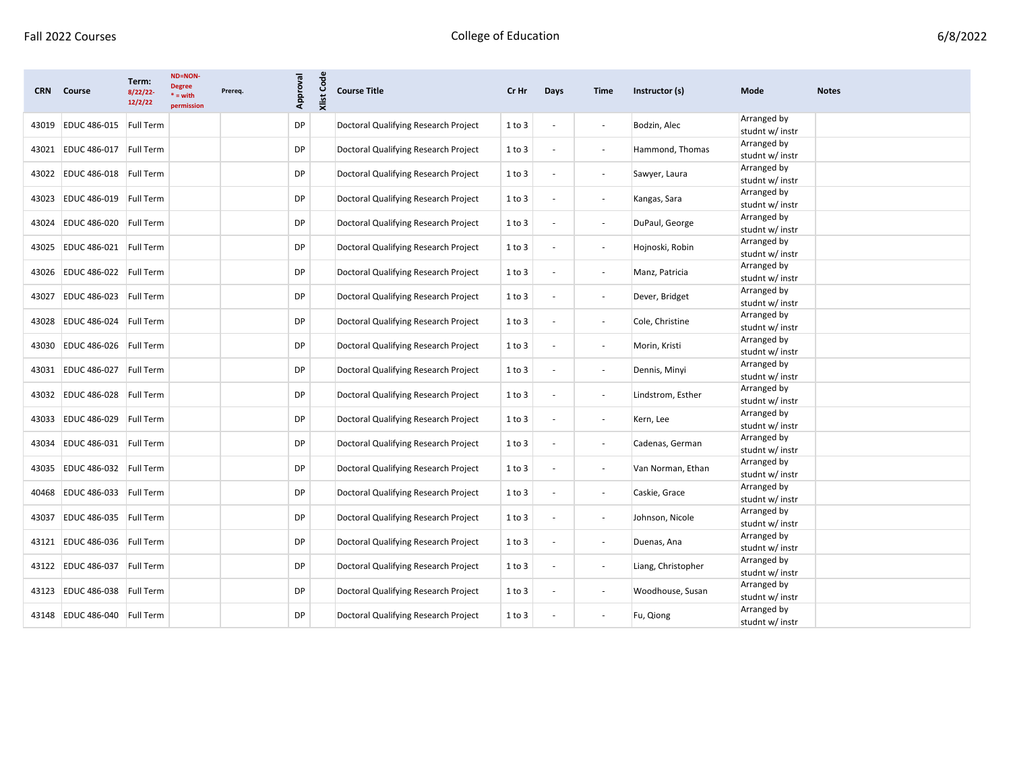| <b>CRN</b> | Course                 | Term:<br>8/22/22-<br>12/2/22 | <b>ND=NON-</b><br><b>Degree</b><br>$* = with$<br>permission | Prereq. | Approval  | <b>Xlist Code</b> | <b>Course Title</b>                  | Cr Hr      | Days                     | Time                         | Instructor (s)     | Mode                           | <b>Notes</b> |
|------------|------------------------|------------------------------|-------------------------------------------------------------|---------|-----------|-------------------|--------------------------------------|------------|--------------------------|------------------------------|--------------------|--------------------------------|--------------|
|            | 43019 EDUC 486-015     | <b>Full Term</b>             |                                                             |         | <b>DP</b> |                   | Doctoral Qualifying Research Project | 1 to 3     |                          | $\overline{\phantom{a}}$     | Bodzin, Alec       | Arranged by<br>studnt w/ instr |              |
| 43021      | <b>EDUC 486-017</b>    | <b>Full Term</b>             |                                                             |         | <b>DP</b> |                   | Doctoral Qualifying Research Project | $1$ to $3$ | $\overline{\phantom{a}}$ | $\overline{\phantom{a}}$     | Hammond, Thomas    | Arranged by<br>studnt w/ instr |              |
| 43022      | EDUC 486-018 Full Term |                              |                                                             |         | DP        |                   | Doctoral Qualifying Research Project | $1$ to $3$ |                          | $\blacksquare$               | Sawyer, Laura      | Arranged by<br>studnt w/ instr |              |
| 43023      | <b>EDUC 486-019</b>    | Full Term                    |                                                             |         | DP        |                   | Doctoral Qualifying Research Project | 1 to 3     | $\sim$                   | $\blacksquare$               | Kangas, Sara       | Arranged by<br>studnt w/ instr |              |
| 43024      | <b>EDUC 486-020</b>    | Full Term                    |                                                             |         | DP        |                   | Doctoral Qualifying Research Project | 1 to 3     |                          | $\blacksquare$               | DuPaul, George     | Arranged by<br>studnt w/ instr |              |
| 43025      | EDUC 486-021 Full Term |                              |                                                             |         | DP        |                   | Doctoral Qualifying Research Project | 1 to 3     |                          | $\overline{\phantom{a}}$     | Hojnoski, Robin    | Arranged by<br>studnt w/ instr |              |
| 43026      | EDUC 486-022 Full Term |                              |                                                             |         | DP        |                   | Doctoral Qualifying Research Project | 1 to 3     | $\overline{\phantom{a}}$ | $\blacksquare$               | Manz, Patricia     | Arranged by<br>studnt w/ instr |              |
| 43027      | <b>EDUC 486-023</b>    | <b>Full Term</b>             |                                                             |         | DP        |                   | Doctoral Qualifying Research Project | $1$ to $3$ |                          | $\blacksquare$               | Dever, Bridget     | Arranged by<br>studnt w/ instr |              |
| 43028      | EDUC 486-024           | Full Term                    |                                                             |         | <b>DP</b> |                   | Doctoral Qualifying Research Project | 1 to 3     |                          | $\overline{\phantom{a}}$     | Cole, Christine    | Arranged by<br>studnt w/ instr |              |
| 43030      | EDUC 486-026 Full Term |                              |                                                             |         | DP        |                   | Doctoral Qualifying Research Project | 1 to 3     |                          | $\blacksquare$               | Morin, Kristi      | Arranged by<br>studnt w/ instr |              |
| 43031      | <b>EDUC 486-027</b>    | Full Term                    |                                                             |         | DP        |                   | Doctoral Qualifying Research Project | 1 to 3     |                          | $\overline{\phantom{a}}$     | Dennis, Minyi      | Arranged by<br>studnt w/ instr |              |
| 43032      | <b>EDUC 486-028</b>    | Full Term                    |                                                             |         | DP        |                   | Doctoral Qualifying Research Project | 1 to 3     |                          | $\overline{\phantom{a}}$     | Lindstrom, Esther  | Arranged by<br>studnt w/ instr |              |
| 43033      | <b>EDUC 486-029</b>    | Full Term                    |                                                             |         | DP        |                   | Doctoral Qualifying Research Project | 1 to 3     | $\overline{\phantom{a}}$ | $\blacksquare$               | Kern, Lee          | Arranged by<br>studnt w/ instr |              |
| 43034      | EDUC 486-031           | Full Term                    |                                                             |         | DP        |                   | Doctoral Qualifying Research Project | 1 to 3     |                          | $\blacksquare$               | Cadenas, German    | Arranged by<br>studnt w/ instr |              |
| 43035      | EDUC 486-032 Full Term |                              |                                                             |         | DP        |                   | Doctoral Qualifying Research Project | 1 to 3     | $\overline{\phantom{a}}$ | $\sim$                       | Van Norman, Ethan  | Arranged by<br>studnt w/ instr |              |
| 40468      | EDUC 486-033 Full Term |                              |                                                             |         | <b>DP</b> |                   | Doctoral Qualifying Research Project | 1 to 3     | $\overline{\phantom{a}}$ | $\blacksquare$               | Caskie, Grace      | Arranged by<br>studnt w/ instr |              |
| 43037      | <b>EDUC 486-035</b>    | Full Term                    |                                                             |         | DP        |                   | Doctoral Qualifying Research Project | 1 to 3     |                          | $\overline{\phantom{a}}$     | Johnson, Nicole    | Arranged by<br>studnt w/ instr |              |
| 43121      | <b>EDUC 486-036</b>    | <b>Full Term</b>             |                                                             |         | DP        |                   | Doctoral Qualifying Research Project | 1 to 3     | $\overline{\phantom{a}}$ | $\overline{\phantom{a}}$     | Duenas, Ana        | Arranged by<br>studnt w/ instr |              |
| 43122      | <b>EDUC 486-037</b>    | Full Term                    |                                                             |         | DP        |                   | Doctoral Qualifying Research Project | 1 to 3     | $\overline{\phantom{a}}$ | $\overline{\phantom{a}}$     | Liang, Christopher | Arranged by<br>studnt w/ instr |              |
| 43123      | <b>EDUC 486-038</b>    | <b>Full Term</b>             |                                                             |         | DP        |                   | Doctoral Qualifying Research Project | 1 to 3     |                          | $\qquad \qquad \blacksquare$ | Woodhouse, Susan   | Arranged by<br>studnt w/ instr |              |
|            | 43148 EDUC 486-040     | <b>Full Term</b>             |                                                             |         | DP        |                   | Doctoral Qualifying Research Project | 1 to 3     |                          |                              | Fu, Qiong          | Arranged by<br>studnt w/ instr |              |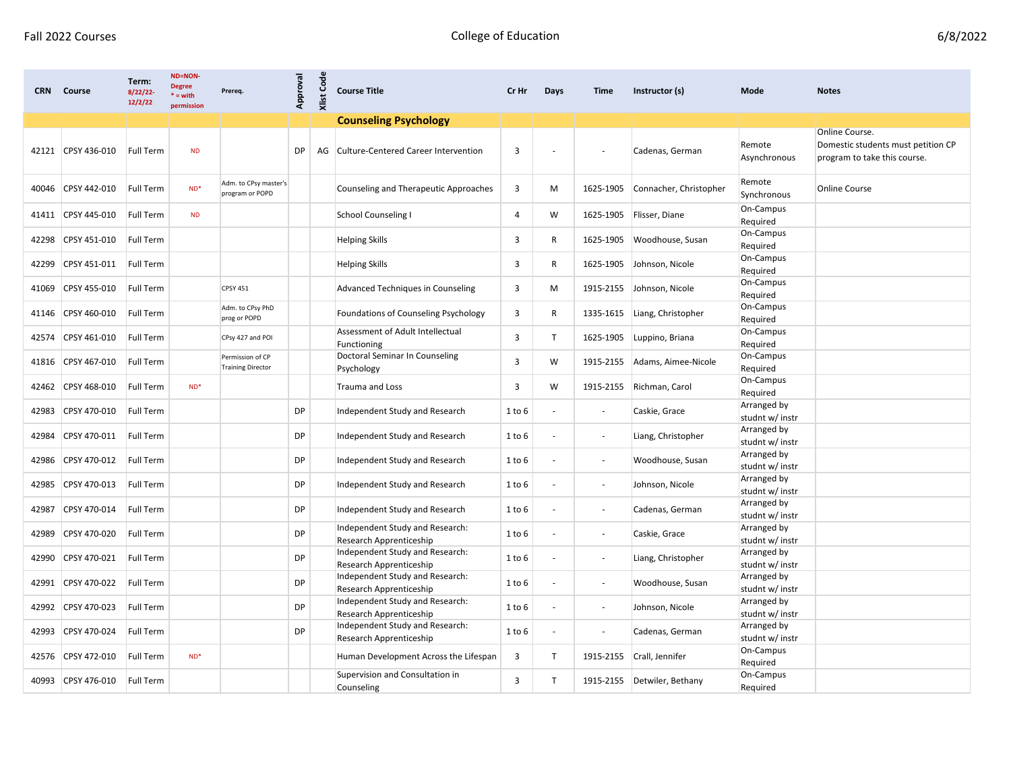| <b>CRN</b> | Course       | Term:<br>8/22/22<br>12/2/22 | <b>ND=NON-</b><br><b>Degree</b><br>$* = with$<br>permission | Prereq.                                      | Approval  | <b>Xlist Code</b> | <b>Course Title</b>                                        | Cr Hr                   | Days         | <b>Time</b>              | Instructor (s)         | Mode                           | <b>Notes</b>                                                                         |
|------------|--------------|-----------------------------|-------------------------------------------------------------|----------------------------------------------|-----------|-------------------|------------------------------------------------------------|-------------------------|--------------|--------------------------|------------------------|--------------------------------|--------------------------------------------------------------------------------------|
|            |              |                             |                                                             |                                              |           |                   | <b>Counseling Psychology</b>                               |                         |              |                          |                        |                                |                                                                                      |
| 42121      | CPSY 436-010 | <b>Full Term</b>            | <b>ND</b>                                                   |                                              | <b>DP</b> |                   | AG Culture-Centered Career Intervention                    | 3                       |              |                          | Cadenas, German        | Remote<br>Asynchronous         | Online Course.<br>Domestic students must petition CP<br>program to take this course. |
| 40046      | CPSY 442-010 | Full Term                   | $ND*$                                                       | Adm. to CPsy master's<br>program or POPD     |           |                   | Counseling and Therapeutic Approaches                      | $\overline{\mathbf{3}}$ | м            | 1625-1905                | Connacher, Christopher | Remote<br>Synchronous          | <b>Online Course</b>                                                                 |
| 41411      | CPSY 445-010 | <b>Full Term</b>            | <b>ND</b>                                                   |                                              |           |                   | <b>School Counseling I</b>                                 | 4                       | W            | 1625-1905                | Flisser, Diane         | On-Campus<br>Required          |                                                                                      |
| 42298      | CPSY 451-010 | <b>Full Term</b>            |                                                             |                                              |           |                   | <b>Helping Skills</b>                                      | 3                       | R            | 1625-1905                | Woodhouse, Susan       | On-Campus<br>Required          |                                                                                      |
| 42299      | CPSY 451-011 | Full Term                   |                                                             |                                              |           |                   | <b>Helping Skills</b>                                      | 3                       | R            | 1625-1905                | Johnson, Nicole        | On-Campus<br>Required          |                                                                                      |
| 41069      | CPSY 455-010 | <b>Full Term</b>            |                                                             | <b>CPSY 451</b>                              |           |                   | Advanced Techniques in Counseling                          | 3                       | M            | 1915-2155                | Johnson, Nicole        | On-Campus<br>Required          |                                                                                      |
| 41146      | CPSY 460-010 | Full Term                   |                                                             | Adm. to CPsy PhD<br>prog or POPD             |           |                   | Foundations of Counseling Psychology                       | 3                       | R            | 1335-1615                | Liang, Christopher     | On-Campus<br>Required          |                                                                                      |
| 42574      | CPSY 461-010 | Full Term                   |                                                             | CPsy 427 and POI                             |           |                   | Assessment of Adult Intellectual<br>Functioning            | $\overline{3}$          | $\mathsf{T}$ | 1625-1905                | Luppino, Briana        | On-Campus<br>Required          |                                                                                      |
| 41816      | CPSY 467-010 | Full Term                   |                                                             | Permission of CP<br><b>Training Director</b> |           |                   | Doctoral Seminar In Counseling<br>Psychology               | 3                       | W            | 1915-2155                | Adams, Aimee-Nicole    | On-Campus<br>Required          |                                                                                      |
| 42462      | CPSY 468-010 | Full Term                   | $ND*$                                                       |                                              |           |                   | <b>Trauma and Loss</b>                                     | 3                       | W            | 1915-2155                | Richman, Carol         | On-Campus<br>Required          |                                                                                      |
| 42983      | CPSY 470-010 | Full Term                   |                                                             |                                              | DP        |                   | Independent Study and Research                             | 1 to 6                  |              | $\blacksquare$           | Caskie, Grace          | Arranged by<br>studnt w/ instr |                                                                                      |
| 42984      | CPSY 470-011 | Full Term                   |                                                             |                                              | DP        |                   | Independent Study and Research                             | $1$ to $6$              |              | $\sim$                   | Liang, Christopher     | Arranged by<br>studnt w/ instr |                                                                                      |
| 42986      | CPSY 470-012 | Full Term                   |                                                             |                                              | <b>DP</b> |                   | Independent Study and Research                             | $1$ to $6$              |              | $\sim$                   | Woodhouse, Susan       | Arranged by<br>studnt w/ instr |                                                                                      |
| 42985      | CPSY 470-013 | <b>Full Term</b>            |                                                             |                                              | DP        |                   | Independent Study and Research                             | 1 to 6                  |              | $\blacksquare$           | Johnson, Nicole        | Arranged by<br>studnt w/ instr |                                                                                      |
| 42987      | CPSY 470-014 | Full Term                   |                                                             |                                              | DP        |                   | Independent Study and Research                             | 1 to 6                  |              | $\sim$                   | Cadenas, German        | Arranged by<br>studnt w/ instr |                                                                                      |
| 42989      | CPSY 470-020 | <b>Full Term</b>            |                                                             |                                              | <b>DP</b> |                   | Independent Study and Research:<br>Research Apprenticeship | $1$ to $6$              |              | $\overline{\phantom{a}}$ | Caskie, Grace          | Arranged by<br>studnt w/ instr |                                                                                      |
| 42990      | CPSY 470-021 | <b>Full Term</b>            |                                                             |                                              | <b>DP</b> |                   | Independent Study and Research:<br>Research Apprenticeship | 1 to 6                  |              | $\blacksquare$           | Liang, Christopher     | Arranged by<br>studnt w/ instr |                                                                                      |
| 42991      | CPSY 470-022 | <b>Full Term</b>            |                                                             |                                              | <b>DP</b> |                   | Independent Study and Research:<br>Research Apprenticeship | 1 to 6                  |              | $\sim$                   | Woodhouse, Susan       | Arranged by<br>studnt w/ instr |                                                                                      |
| 42992      | CPSY 470-023 | Full Term                   |                                                             |                                              | <b>DP</b> |                   | Independent Study and Research:<br>Research Apprenticeship | 1 to 6                  |              | $\overline{\phantom{a}}$ | Johnson, Nicole        | Arranged by<br>studnt w/ instr |                                                                                      |
| 42993      | CPSY 470-024 | <b>Full Term</b>            |                                                             |                                              | <b>DP</b> |                   | Independent Study and Research:<br>Research Apprenticeship | 1 to 6                  |              | $\blacksquare$           | Cadenas, German        | Arranged by<br>studnt w/ instr |                                                                                      |
| 42576      | CPSY 472-010 | Full Term                   | $ND^*$                                                      |                                              |           |                   | Human Development Across the Lifespan                      | 3                       | T            | 1915-2155                | Crall, Jennifer        | On-Campus<br>Required          |                                                                                      |
| 40993      | CPSY 476-010 | Full Term                   |                                                             |                                              |           |                   | Supervision and Consultation in<br>Counseling              | 3                       | $\mathsf{T}$ | 1915-2155                | Detwiler, Bethany      | On-Campus<br>Required          |                                                                                      |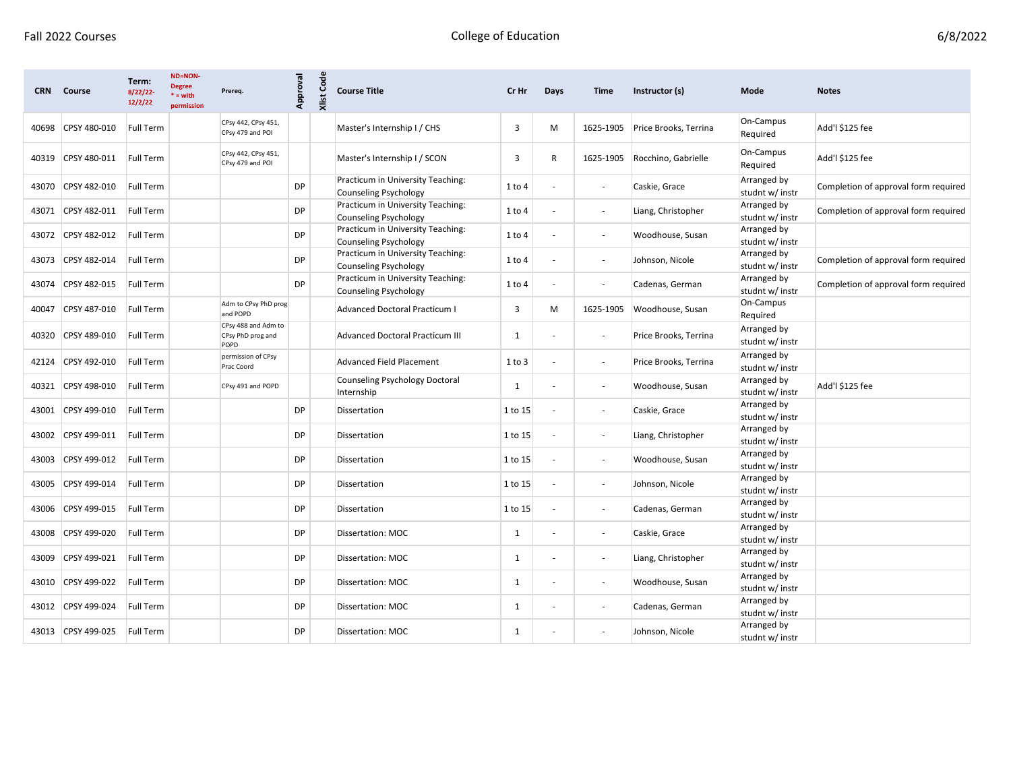| <b>CRN</b> | Course       | Term:<br>8/22/22<br>12/2/22 | ND=NON-<br><b>Degree</b><br>$* = with$<br>permission | Prereq.                                          | Approval  | <b>Xlist Code</b> | <b>Course Title</b>                                               | Cr Hr        | Days                     | <b>Time</b>              | Instructor (s)        | Mode                           | <b>Notes</b>                         |
|------------|--------------|-----------------------------|------------------------------------------------------|--------------------------------------------------|-----------|-------------------|-------------------------------------------------------------------|--------------|--------------------------|--------------------------|-----------------------|--------------------------------|--------------------------------------|
| 40698      | CPSY 480-010 | Full Term                   |                                                      | CPsy 442, CPsy 451,<br>CPsy 479 and POI          |           |                   | Master's Internship I / CHS                                       | 3            | M                        | 1625-1905                | Price Brooks, Terrina | On-Campus<br>Required          | Add'l \$125 fee                      |
| 40319      | CPSY 480-011 | <b>Full Term</b>            |                                                      | CPsy 442, CPsy 451,<br>CPsy 479 and POI          |           |                   | Master's Internship I / SCON                                      | 3            | $\mathsf{R}$             | 1625-1905                | Rocchino, Gabrielle   | On-Campus<br>Required          | Add'l \$125 fee                      |
| 43070      | CPSY 482-010 | <b>Full Term</b>            |                                                      |                                                  | <b>DP</b> |                   | Practicum in University Teaching:<br>Counseling Psychology        | $1$ to $4$   |                          | $\sim$                   | Caskie, Grace         | Arranged by<br>studnt w/ instr | Completion of approval form required |
| 43071      | CPSY 482-011 | Full Term                   |                                                      |                                                  | <b>DP</b> |                   | Practicum in University Teaching:<br>Counseling Psychology        | 1 to 4       |                          |                          | Liang, Christopher    | Arranged by<br>studnt w/ instr | Completion of approval form required |
| 43072      | CPSY 482-012 | <b>Full Term</b>            |                                                      |                                                  | <b>DP</b> |                   | Practicum in University Teaching:<br><b>Counseling Psychology</b> | $1$ to $4$   | $\overline{\phantom{a}}$ | $\overline{\phantom{a}}$ | Woodhouse, Susan      | Arranged by<br>studnt w/ instr |                                      |
| 43073      | CPSY 482-014 | <b>Full Term</b>            |                                                      |                                                  | <b>DP</b> |                   | Practicum in University Teaching:<br>Counseling Psychology        | 1 to 4       |                          | $\sim$                   | Johnson, Nicole       | Arranged by<br>studnt w/ instr | Completion of approval form required |
| 43074      | CPSY 482-015 | Full Term                   |                                                      |                                                  | <b>DP</b> |                   | Practicum in University Teaching:<br>Counseling Psychology        | 1 to 4       | $\overline{\phantom{a}}$ | $\blacksquare$           | Cadenas, German       | Arranged by<br>studnt w/ instr | Completion of approval form required |
| 40047      | CPSY 487-010 | <b>Full Term</b>            |                                                      | Adm to CPsy PhD prog<br>and POPD                 |           |                   | <b>Advanced Doctoral Practicum I</b>                              | 3            | M                        | 1625-1905                | Woodhouse, Susan      | On-Campus<br>Required          |                                      |
| 40320      | CPSY 489-010 | Full Term                   |                                                      | CPsy 488 and Adm to<br>CPsy PhD prog and<br>POPD |           |                   | <b>Advanced Doctoral Practicum III</b>                            | $\mathbf{1}$ |                          |                          | Price Brooks, Terrina | Arranged by<br>studnt w/ instr |                                      |
| 42124      | CPSY 492-010 | Full Term                   |                                                      | permission of CPsy<br>Prac Coord                 |           |                   | <b>Advanced Field Placement</b>                                   | 1 to 3       |                          | $\blacksquare$           | Price Brooks, Terrina | Arranged by<br>studnt w/ instr |                                      |
| 40321      | CPSY 498-010 | Full Term                   |                                                      | CPsy 491 and POPD                                |           |                   | Counseling Psychology Doctoral<br>Internship                      | 1            |                          |                          | Woodhouse, Susan      | Arranged by<br>studnt w/ instr | Add'l \$125 fee                      |
| 43001      | CPSY 499-010 | Full Term                   |                                                      |                                                  | <b>DP</b> |                   | <b>Dissertation</b>                                               | 1 to 15      |                          | $\overline{\phantom{a}}$ | Caskie, Grace         | Arranged by<br>studnt w/ instr |                                      |
| 43002      | CPSY 499-011 | <b>Full Term</b>            |                                                      |                                                  | <b>DP</b> |                   | <b>Dissertation</b>                                               | 1 to 15      |                          |                          | Liang, Christopher    | Arranged by<br>studnt w/ instr |                                      |
| 43003      | CPSY 499-012 | Full Term                   |                                                      |                                                  | DP        |                   | Dissertation                                                      | 1 to 15      | $\overline{\phantom{a}}$ | $\overline{\phantom{a}}$ | Woodhouse, Susan      | Arranged by<br>studnt w/ instr |                                      |
| 43005      | CPSY 499-014 | Full Term                   |                                                      |                                                  | <b>DP</b> |                   | Dissertation                                                      | 1 to 15      |                          |                          | Johnson, Nicole       | Arranged by<br>studnt w/ instr |                                      |
| 43006      | CPSY 499-015 | Full Term                   |                                                      |                                                  | <b>DP</b> |                   | Dissertation                                                      | 1 to 15      |                          | $\overline{\phantom{a}}$ | Cadenas, German       | Arranged by<br>studnt w/ instr |                                      |
| 43008      | CPSY 499-020 | Full Term                   |                                                      |                                                  | <b>DP</b> |                   | Dissertation: MOC                                                 | 1            |                          | $\overline{\phantom{a}}$ | Caskie, Grace         | Arranged by<br>studnt w/ instr |                                      |
| 43009      | CPSY 499-021 | <b>Full Term</b>            |                                                      |                                                  | <b>DP</b> |                   | Dissertation: MOC                                                 | 1            |                          | $\overline{\phantom{a}}$ | Liang, Christopher    | Arranged by<br>studnt w/ instr |                                      |
| 43010      | CPSY 499-022 | Full Term                   |                                                      |                                                  | <b>DP</b> |                   | Dissertation: MOC                                                 | $\mathbf{1}$ | $\overline{\phantom{a}}$ | $\overline{\phantom{a}}$ | Woodhouse, Susan      | Arranged by<br>studnt w/ instr |                                      |
| 43012      | CPSY 499-024 | Full Term                   |                                                      |                                                  | DP        |                   | Dissertation: MOC                                                 | 1            |                          |                          | Cadenas, German       | Arranged by<br>studnt w/ instr |                                      |
| 43013      | CPSY 499-025 | Full Term                   |                                                      |                                                  | <b>DP</b> |                   | Dissertation: MOC                                                 | $\mathbf{1}$ |                          |                          | Johnson, Nicole       | Arranged by<br>studnt w/ instr |                                      |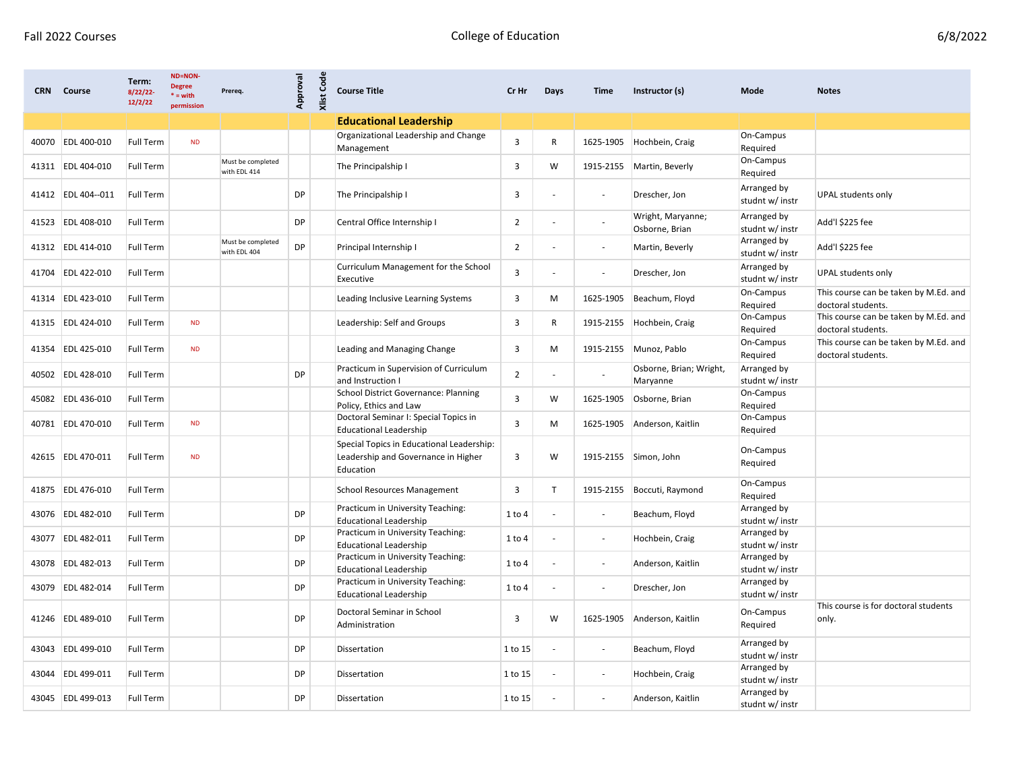| <b>CRN</b> | Course             | Term:<br>8/22/22-<br>12/2/22 | <b>ND=NON-</b><br><b>Degree</b><br>$* = with$<br>permission | Prereq.                           | Approval  | <b>Xlist Code</b> | <b>Course Title</b>                                                                           | Cr Hr          | <b>Days</b>              | Time                     | Instructor (s)                      | Mode                           | <b>Notes</b>                                                |
|------------|--------------------|------------------------------|-------------------------------------------------------------|-----------------------------------|-----------|-------------------|-----------------------------------------------------------------------------------------------|----------------|--------------------------|--------------------------|-------------------------------------|--------------------------------|-------------------------------------------------------------|
|            |                    |                              |                                                             |                                   |           |                   | <b>Educational Leadership</b>                                                                 |                |                          |                          |                                     |                                |                                                             |
| 40070      | <b>EDL 400-010</b> | <b>Full Term</b>             | <b>ND</b>                                                   |                                   |           |                   | Organizational Leadership and Change<br>Management                                            | 3              | R                        | 1625-1905                | Hochbein, Craig                     | On-Campus<br>Required          |                                                             |
|            | 41311 EDL 404-010  | <b>Full Term</b>             |                                                             | Must be completed<br>with EDL 414 |           |                   | The Principalship I                                                                           | 3              | W                        | 1915-2155                | Martin, Beverly                     | On-Campus<br>Required          |                                                             |
|            | 41412 EDL 404--011 | <b>Full Term</b>             |                                                             |                                   | <b>DP</b> |                   | The Principalship I                                                                           | 3              |                          | $\overline{\phantom{a}}$ | Drescher, Jon                       | Arranged by<br>studnt w/ instr | UPAL students only                                          |
| 41523      | EDL 408-010        | <b>Full Term</b>             |                                                             |                                   | DP        |                   | Central Office Internship I                                                                   | 2              |                          |                          | Wright, Maryanne;<br>Osborne, Brian | Arranged by<br>studnt w/ instr | Add'l \$225 fee                                             |
|            | 41312 EDL 414-010  | <b>Full Term</b>             |                                                             | Must be completed<br>with EDL 404 | DP        |                   | Principal Internship I                                                                        | 2              |                          | $\overline{\phantom{a}}$ | Martin, Beverly                     | Arranged by<br>studnt w/ instr | Add'l \$225 fee                                             |
| 41704      | EDL 422-010        | Full Term                    |                                                             |                                   |           |                   | Curriculum Management for the School<br>Executive                                             | 3              |                          | $\blacksquare$           | Drescher, Jon                       | Arranged by<br>studnt w/ instr | UPAL students only                                          |
| 41314      | EDL 423-010        | <b>Full Term</b>             |                                                             |                                   |           |                   | Leading Inclusive Learning Systems                                                            | 3              | M                        | 1625-1905                | Beachum, Floyd                      | On-Campus<br>Required          | This course can be taken by M.Ed. and<br>doctoral students. |
|            | 41315 EDL 424-010  | <b>Full Term</b>             | <b>ND</b>                                                   |                                   |           |                   | Leadership: Self and Groups                                                                   | 3              | R                        | 1915-2155                | Hochbein, Craig                     | On-Campus<br>Required          | This course can be taken by M.Ed. and<br>doctoral students. |
| 41354      | EDL 425-010        | <b>Full Term</b>             | <b>ND</b>                                                   |                                   |           |                   | Leading and Managing Change                                                                   | 3              | M                        | 1915-2155                | Munoz, Pablo                        | On-Campus<br>Required          | This course can be taken by M.Ed. and<br>doctoral students. |
| 40502      | EDL 428-010        | Full Term                    |                                                             |                                   | <b>DP</b> |                   | Practicum in Supervision of Curriculum<br>and Instruction I                                   | $\overline{2}$ |                          |                          | Osborne, Brian; Wright,<br>Maryanne | Arranged by<br>studnt w/ instr |                                                             |
| 45082      | EDL 436-010        | <b>Full Term</b>             |                                                             |                                   |           |                   | <b>School District Governance: Planning</b><br>Policy, Ethics and Law                         | 3              | W                        | 1625-1905                | Osborne, Brian                      | On-Campus<br>Required          |                                                             |
| 40781      | EDL 470-010        | <b>Full Term</b>             | ND                                                          |                                   |           |                   | Doctoral Seminar I: Special Topics in<br><b>Educational Leadership</b>                        | 3              | M                        | 1625-1905                | Anderson, Kaitlin                   | On-Campus<br>Required          |                                                             |
|            | 42615 EDL 470-011  | <b>Full Term</b>             | <b>ND</b>                                                   |                                   |           |                   | Special Topics in Educational Leadership:<br>Leadership and Governance in Higher<br>Education | 3              | W                        | 1915-2155                | Simon, John                         | On-Campus<br>Required          |                                                             |
| 41875      | EDL 476-010        | Full Term                    |                                                             |                                   |           |                   | <b>School Resources Management</b>                                                            | 3              | $\mathsf{T}$             | 1915-2155                | Boccuti, Raymond                    | On-Campus<br>Required          |                                                             |
|            | 43076 EDL 482-010  | Full Term                    |                                                             |                                   | <b>DP</b> |                   | Practicum in University Teaching:<br><b>Educational Leadership</b>                            | 1 to 4         |                          | $\overline{\phantom{a}}$ | Beachum, Floyd                      | Arranged by<br>studnt w/ instr |                                                             |
| 43077      | <b>EDL 482-011</b> | Full Term                    |                                                             |                                   | DP        |                   | Practicum in University Teaching:<br><b>Educational Leadership</b>                            | 1 to 4         |                          | $\overline{\phantom{a}}$ | Hochbein, Craig                     | Arranged by<br>studnt w/ instr |                                                             |
|            | 43078 EDL 482-013  | <b>Full Term</b>             |                                                             |                                   | <b>DP</b> |                   | Practicum in University Teaching:<br><b>Educational Leadership</b>                            | 1 to 4         | $\blacksquare$           | $\overline{\phantom{a}}$ | Anderson, Kaitlin                   | Arranged by<br>studnt w/ instr |                                                             |
| 43079      | EDL 482-014        | <b>Full Term</b>             |                                                             |                                   | DP        |                   | Practicum in University Teaching:<br>Educational Leadership                                   | 1 to 4         |                          | $\overline{\phantom{a}}$ | Drescher, Jon                       | Arranged by<br>studnt w/ instr |                                                             |
|            | 41246 EDL 489-010  | Full Term                    |                                                             |                                   | <b>DP</b> |                   | Doctoral Seminar in School<br>Administration                                                  | 3              | W                        |                          | 1625-1905 Anderson, Kaitlin         | On-Campus<br>Required          | This course is for doctoral students<br>only.               |
|            | 43043 EDL 499-010  | Full Term                    |                                                             |                                   | DP        |                   | Dissertation                                                                                  | 1 to 15        | $\blacksquare$           | $\sim$                   | Beachum, Floyd                      | Arranged by<br>studnt w/ instr |                                                             |
|            | 43044 EDL 499-011  | <b>Full Term</b>             |                                                             |                                   | <b>DP</b> |                   | Dissertation                                                                                  | 1 to 15        | $\overline{\phantom{a}}$ | $\sim$                   | Hochbein, Craig                     | Arranged by<br>studnt w/ instr |                                                             |
|            | 43045 EDL 499-013  | Full Term                    |                                                             |                                   | <b>DP</b> |                   | Dissertation                                                                                  | 1 to 15        | $\sim$                   | $\sim$                   | Anderson, Kaitlin                   | Arranged by<br>studnt w/ instr |                                                             |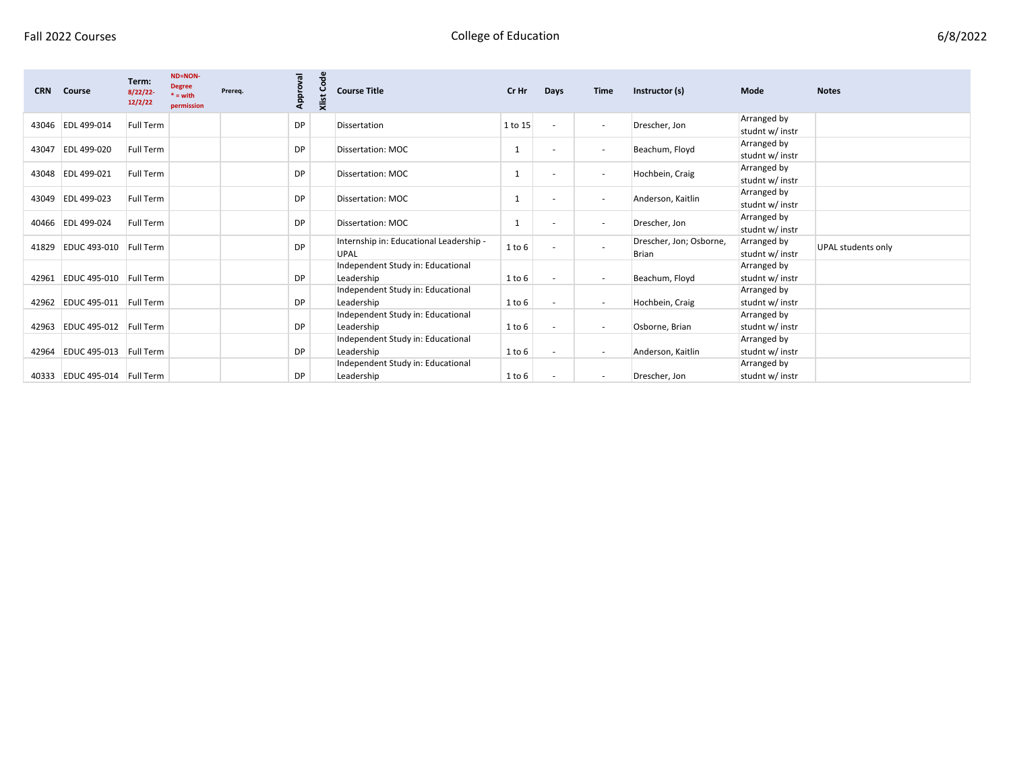| 6/8/2022 |
|----------|
|----------|

| <b>CRN</b> | Course                       | Term:<br>8/22/22<br>12/2/22 | <b>ND=NON-</b><br><b>Degree</b><br>$* = with$<br>permission | Prereq. | Approval  | Š<br>Xlist | <b>Course Title</b>                             | Cr Hr   | Days | <b>Time</b>              | Instructor (s)                   | Mode                           | <b>Notes</b>       |
|------------|------------------------------|-----------------------------|-------------------------------------------------------------|---------|-----------|------------|-------------------------------------------------|---------|------|--------------------------|----------------------------------|--------------------------------|--------------------|
|            | 43046 EDL 499-014            | Full Term                   |                                                             |         | DP        |            | Dissertation                                    | 1 to 15 |      | $\overline{\phantom{a}}$ | Drescher, Jon                    | Arranged by<br>studnt w/ instr |                    |
| 43047      | EDL 499-020                  | <b>Full Term</b>            |                                                             |         | DP        |            | Dissertation: MOC                               |         |      | $\overline{\phantom{a}}$ | Beachum, Floyd                   | Arranged by<br>studnt w/ instr |                    |
|            | 43048 EDL 499-021            | <b>Full Term</b>            |                                                             |         | DP        |            | Dissertation: MOC                               |         |      | $\overline{\phantom{a}}$ | Hochbein, Craig                  | Arranged by<br>studnt w/ instr |                    |
|            | 43049 EDL 499-023            | Full Term                   |                                                             |         | <b>DP</b> |            | Dissertation: MOC                               |         |      | $\overline{\phantom{a}}$ | Anderson, Kaitlin                | Arranged by<br>studnt w/ instr |                    |
|            | 40466 EDL 499-024            | Full Term                   |                                                             |         | DP        |            | Dissertation: MOC                               |         |      | $\overline{\phantom{a}}$ | Drescher, Jon                    | Arranged by<br>studnt w/ instr |                    |
| 41829      | <b>EDUC 493-010</b>          | <b>Full Term</b>            |                                                             |         | DP        |            | Internship in: Educational Leadership -<br>UPAL | 1 to 6  |      | $\overline{\phantom{a}}$ | Drescher, Jon; Osborne,<br>Brian | Arranged by<br>studnt w/ instr | UPAL students only |
|            |                              |                             |                                                             |         |           |            | Independent Study in: Educational               |         |      |                          |                                  | Arranged by                    |                    |
|            | 42961 EDUC 495-010 Full Term |                             |                                                             |         | <b>DP</b> |            | Leadership                                      | 1 to 6  |      | $\overline{\phantom{a}}$ | Beachum, Floyd                   | studnt w/ instr                |                    |
|            |                              |                             |                                                             |         |           |            | Independent Study in: Educational               |         |      |                          |                                  | Arranged by                    |                    |
|            | 42962 EDUC 495-011 Full Term |                             |                                                             |         | DP        |            | Leadership                                      | 1 to 6  |      | $\overline{\phantom{a}}$ | Hochbein, Craig                  | studnt w/ instr                |                    |
|            |                              |                             |                                                             |         |           |            | Independent Study in: Educational               |         |      |                          |                                  | Arranged by                    |                    |
|            | 42963 EDUC 495-012 Full Term |                             |                                                             |         | DP        |            | Leadership                                      | 1 to 6  |      | $\overline{\phantom{a}}$ | Osborne, Brian                   | studnt w/ instr                |                    |
|            |                              |                             |                                                             |         |           |            | Independent Study in: Educational               |         |      |                          |                                  | Arranged by                    |                    |
| 42964      | EDUC 495-013 Full Term       |                             |                                                             |         | DP        |            | Leadership                                      | 1 to 6  |      | $\overline{\phantom{a}}$ | Anderson, Kaitlin                | studnt w/ instr                |                    |
|            |                              |                             |                                                             |         |           |            | Independent Study in: Educational               |         |      |                          |                                  | Arranged by                    |                    |
|            | 40333 EDUC 495-014 Full Term |                             |                                                             |         | DP        |            | Leadership                                      | 1 to 6  |      | $\overline{\phantom{a}}$ | Drescher, Jon                    | studnt w/ instr                |                    |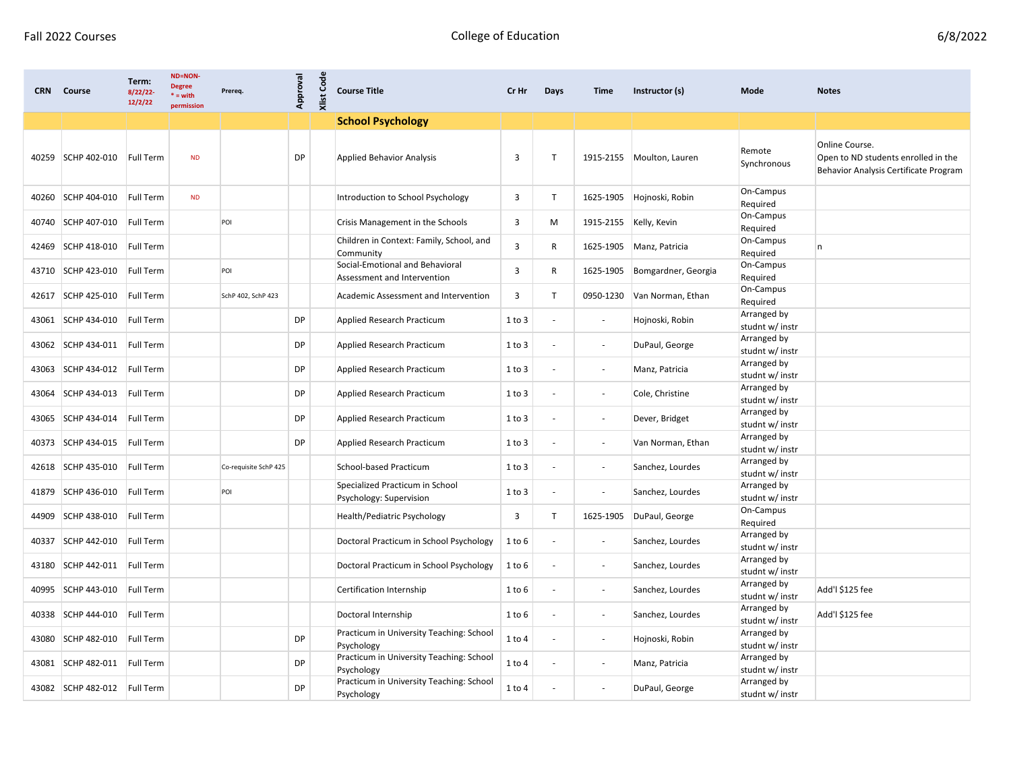| <b>CRN</b> | Course                       | Term:<br>8/22/22<br>12/2/22 | <b>ND=NON-</b><br><b>Degree</b><br>$* = with$<br>permission | Prereq.               | Approval | <b>Xlist Code</b> | <b>Course Title</b>                                            | Cr Hr      | Days                     | Time                     | Instructor (s)              | Mode                           | <b>Notes</b>                                                                                   |
|------------|------------------------------|-----------------------------|-------------------------------------------------------------|-----------------------|----------|-------------------|----------------------------------------------------------------|------------|--------------------------|--------------------------|-----------------------------|--------------------------------|------------------------------------------------------------------------------------------------|
|            |                              |                             |                                                             |                       |          |                   | <b>School Psychology</b>                                       |            |                          |                          |                             |                                |                                                                                                |
|            | 40259 SCHP 402-010           | Full Term                   | <b>ND</b>                                                   |                       | DP       |                   | <b>Applied Behavior Analysis</b>                               | 3          | $\mathsf{T}$             |                          | 1915-2155   Moulton, Lauren | Remote<br>Synchronous          | Online Course.<br>Open to ND students enrolled in the<br>Behavior Analysis Certificate Program |
|            | 40260 SCHP 404-010           | <b>Full Term</b>            | <b>ND</b>                                                   |                       |          |                   | Introduction to School Psychology                              | 3          | $\mathsf{T}$             | 1625-1905                | Hojnoski, Robin             | On-Campus<br>Required          |                                                                                                |
|            | 40740 SCHP 407-010           | Full Term                   |                                                             | POI                   |          |                   | Crisis Management in the Schools                               | 3          | M                        | 1915-2155 Kelly, Kevin   |                             | On-Campus<br>Required          |                                                                                                |
| 42469      | SCHP 418-010                 | <b>Full Term</b>            |                                                             |                       |          |                   | Children in Context: Family, School, and<br>Community          | 3          | R                        | 1625-1905                | Manz, Patricia              | On-Campus<br>Required          | n                                                                                              |
| 43710      | SCHP 423-010                 | Full Term                   |                                                             | POI                   |          |                   | Social-Emotional and Behavioral<br>Assessment and Intervention | 3          | R                        | 1625-1905                | Bomgardner, Georgia         | On-Campus<br>Required          |                                                                                                |
| 42617      | SCHP 425-010                 | Full Term                   |                                                             | SchP 402, SchP 423    |          |                   | Academic Assessment and Intervention                           | 3          | $\mathsf{T}$             | 0950-1230                | Van Norman, Ethan           | On-Campus<br>Required          |                                                                                                |
| 43061      | SCHP 434-010                 | <b>Full Term</b>            |                                                             |                       | DP       |                   | Applied Research Practicum                                     | 1 to 3     |                          | $\blacksquare$           | Hojnoski, Robin             | Arranged by<br>studnt w/ instr |                                                                                                |
|            | 43062 SCHP 434-011           | <b>Full Term</b>            |                                                             |                       | DP       |                   | Applied Research Practicum                                     | 1 to 3     |                          | $\overline{\phantom{a}}$ | DuPaul, George              | Arranged by<br>studnt w/ instr |                                                                                                |
| 43063      | SCHP 434-012                 | <b>Full Term</b>            |                                                             |                       | DP       |                   | Applied Research Practicum                                     | 1 to 3     | $\overline{\phantom{a}}$ | $\overline{\phantom{a}}$ | Manz, Patricia              | Arranged by<br>studnt w/ instr |                                                                                                |
| 43064      | SCHP 434-013                 | Full Term                   |                                                             |                       | DP       |                   | Applied Research Practicum                                     | 1 to 3     | $\overline{\phantom{a}}$ | $\overline{\phantom{a}}$ | Cole, Christine             | Arranged by<br>studnt w/ instr |                                                                                                |
| 43065      | SCHP 434-014                 | Full Term                   |                                                             |                       | DP       |                   | Applied Research Practicum                                     | 1 to 3     | $\overline{\phantom{a}}$ | $\overline{\phantom{a}}$ | Dever, Bridget              | Arranged by<br>studnt w/ instr |                                                                                                |
| 40373      | SCHP 434-015                 | Full Term                   |                                                             |                       | DP       |                   | Applied Research Practicum                                     | 1 to 3     | $\overline{\phantom{a}}$ | $\overline{\phantom{a}}$ | Van Norman, Ethan           | Arranged by<br>studnt w/ instr |                                                                                                |
| 42618      | SCHP 435-010                 | <b>Full Term</b>            |                                                             | Co-requisite SchP 425 |          |                   | School-based Practicum                                         | 1 to 3     | $\overline{\phantom{a}}$ | $\overline{\phantom{a}}$ | Sanchez, Lourdes            | Arranged by<br>studnt w/ instr |                                                                                                |
| 41879      | SCHP 436-010                 | Full Term                   |                                                             | POI                   |          |                   | Specialized Practicum in School<br>Psychology: Supervision     | 1 to 3     | $\overline{\phantom{a}}$ | $\overline{\phantom{a}}$ | Sanchez, Lourdes            | Arranged by<br>studnt w/ instr |                                                                                                |
| 44909      | SCHP 438-010                 | Full Term                   |                                                             |                       |          |                   | Health/Pediatric Psychology                                    | 3          | $\mathsf{T}$             | 1625-1905                | DuPaul, George              | On-Campus<br>Required          |                                                                                                |
| 40337      | SCHP 442-010                 | <b>Full Term</b>            |                                                             |                       |          |                   | Doctoral Practicum in School Psychology                        | 1 to 6     |                          | $\overline{\phantom{a}}$ | Sanchez, Lourdes            | Arranged by<br>studnt w/ instr |                                                                                                |
|            | 43180 SCHP 442-011           | Full Term                   |                                                             |                       |          |                   | Doctoral Practicum in School Psychology                        | 1 to 6     |                          | $\overline{\phantom{a}}$ | Sanchez, Lourdes            | Arranged by<br>studnt w/ instr |                                                                                                |
| 40995      | SCHP 443-010                 | Full Term                   |                                                             |                       |          |                   | Certification Internship                                       | 1 to 6     |                          | $\overline{\phantom{a}}$ | Sanchez, Lourdes            | Arranged by<br>studnt w/ instr | Add'l \$125 fee                                                                                |
|            | 40338 SCHP 444-010 Full Term |                             |                                                             |                       |          |                   | Doctoral Internship                                            | 1 to 6     |                          |                          | Sanchez, Lourdes            | Arranged by<br>studnt w/ instr | Add'l \$125 fee                                                                                |
|            | 43080 SCHP 482-010           | Full Term                   |                                                             |                       | DP       |                   | Practicum in University Teaching: School<br>Psychology         | $1$ to $4$ |                          | $\overline{\phantom{a}}$ | Hojnoski, Robin             | Arranged by<br>studnt w/ instr |                                                                                                |
|            | 43081 SCHP 482-011 Full Term |                             |                                                             |                       | DP       |                   | Practicum in University Teaching: School<br>Psychology         | 1 to 4     | $\overline{\phantom{a}}$ | $\overline{\phantom{a}}$ | Manz, Patricia              | Arranged by<br>studnt w/ instr |                                                                                                |
|            | 43082 SCHP 482-012 Full Term |                             |                                                             |                       | DP       |                   | Practicum in University Teaching: School<br>Psychology         | $1$ to $4$ |                          | $\overline{\phantom{a}}$ | DuPaul, George              | Arranged by<br>studnt w/ instr |                                                                                                |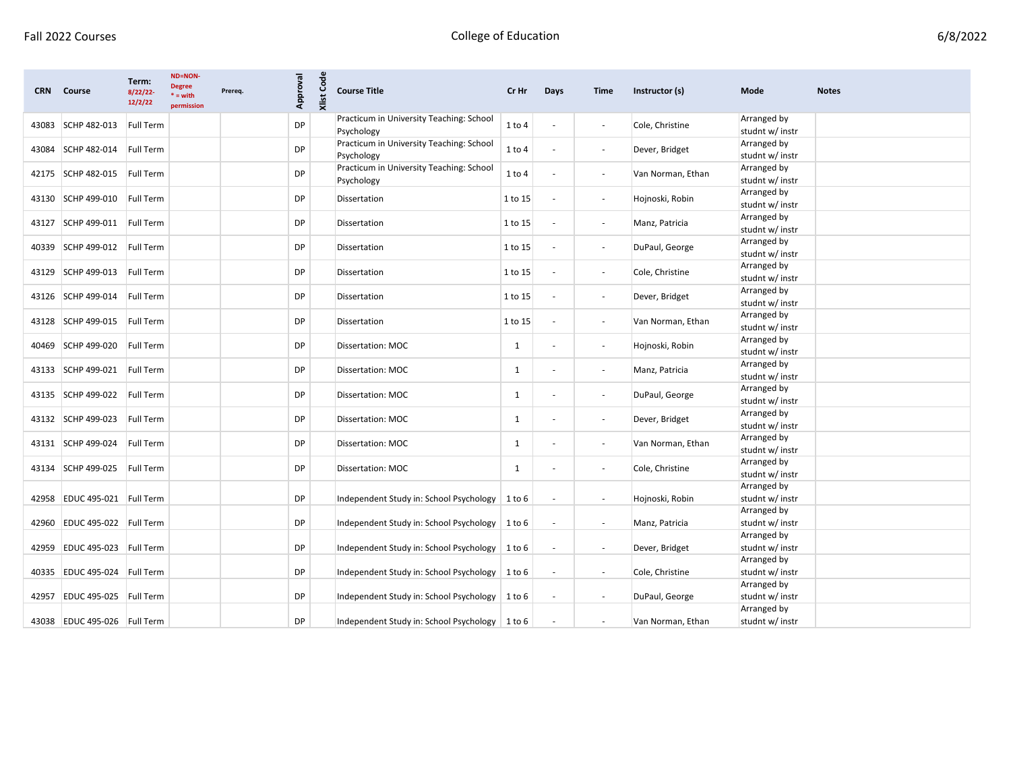| 6/8/2022 |  |
|----------|--|
|          |  |

| <b>CRN</b> | Course                       | Term:<br>8/22/22<br>12/2/22 | <b>ND=NON-</b><br><b>Degree</b><br>$* = with$<br>permission | Prereq. | Code<br>Approval<br>Xlist | <b>Course Title</b>                                    | Cr Hr        | Days                     | <b>Time</b>              | Instructor (s)    | Mode                                          | <b>Notes</b> |
|------------|------------------------------|-----------------------------|-------------------------------------------------------------|---------|---------------------------|--------------------------------------------------------|--------------|--------------------------|--------------------------|-------------------|-----------------------------------------------|--------------|
| 43083      | SCHP 482-013                 | <b>Full Term</b>            |                                                             |         | DP                        | Practicum in University Teaching: School<br>Psychology | $1$ to $4$   |                          | $\overline{\phantom{a}}$ | Cole, Christine   | Arranged by<br>studnt w/ instr                |              |
| 43084      | SCHP 482-014                 | Full Term                   |                                                             |         | DP                        | Practicum in University Teaching: School<br>Psychology | $1$ to $4$   |                          | $\overline{\phantom{a}}$ | Dever, Bridget    | Arranged by<br>studnt w/ instr                |              |
|            | 42175 SCHP 482-015           | Full Term                   |                                                             |         | DP                        | Practicum in University Teaching: School<br>Psychology | $1$ to $4$   |                          | $\blacksquare$           | Van Norman, Ethan | Arranged by<br>studnt w/ instr                |              |
|            | 43130 SCHP 499-010           | Full Term                   |                                                             |         | DP                        | Dissertation                                           | 1 to 15      |                          | $\overline{\phantom{a}}$ | Hojnoski, Robin   | Arranged by<br>studnt w/ instr                |              |
| 43127      | SCHP 499-011                 | Full Term                   |                                                             |         | DP                        | Dissertation                                           | 1 to 15      |                          | $\sim$                   | Manz, Patricia    | Arranged by<br>studnt w/ instr                |              |
| 40339      | SCHP 499-012                 | Full Term                   |                                                             |         | DP                        | Dissertation                                           | 1 to 15      | $\overline{\phantom{a}}$ | $\overline{\phantom{a}}$ | DuPaul, George    | Arranged by<br>studnt w/ instr                |              |
|            | 43129 SCHP 499-013           | Full Term                   |                                                             |         | DP                        | Dissertation                                           | 1 to 15      | $\sim$                   | $\overline{\phantom{a}}$ | Cole, Christine   | Arranged by<br>studnt w/ instr                |              |
| 43126      | SCHP 499-014                 | Full Term                   |                                                             |         | DP                        | Dissertation                                           | 1 to 15      |                          | $\overline{\phantom{a}}$ | Dever, Bridget    | Arranged by<br>studnt w/ instr                |              |
|            | 43128 SCHP 499-015           | Full Term                   |                                                             |         | DP                        | Dissertation                                           | 1 to 15      |                          | $\blacksquare$           | Van Norman, Ethan | Arranged by<br>studnt w/ instr                |              |
| 40469      | SCHP 499-020                 | Full Term                   |                                                             |         | DP                        | Dissertation: MOC                                      | 1            | $\blacksquare$           | $\blacksquare$           | Hojnoski, Robin   | Arranged by<br>studnt w/ instr                |              |
| 43133      | SCHP 499-021                 | Full Term                   |                                                             |         | DP                        | Dissertation: MOC                                      | 1            |                          |                          | Manz, Patricia    | Arranged by<br>studnt w/ instr                |              |
|            | 43135 SCHP 499-022           | Full Term                   |                                                             |         | DP                        | Dissertation: MOC                                      | 1            |                          | $\overline{\phantom{a}}$ | DuPaul, George    | Arranged by<br>studnt w/ instr<br>Arranged by |              |
|            | 43132 SCHP 499-023           | Full Term                   |                                                             |         | <b>DP</b>                 | Dissertation: MOC                                      | $\mathbf{1}$ |                          | $\blacksquare$           | Dever, Bridget    | studnt w/ instr<br>Arranged by                |              |
| 43131      | SCHP 499-024                 | Full Term                   |                                                             |         | DP                        | Dissertation: MOC                                      | 1            |                          | $\blacksquare$           | Van Norman, Ethan | studnt w/ instr<br>Arranged by                |              |
| 43134      | SCHP 499-025                 | Full Term                   |                                                             |         | DP                        | Dissertation: MOC                                      | $\mathbf{1}$ |                          | $\blacksquare$           | Cole, Christine   | studnt w/ instr<br>Arranged by                |              |
|            | 42958 EDUC 495-021 Full Term |                             |                                                             |         | DP                        | Independent Study in: School Psychology   1 to 6       |              | $\overline{\phantom{a}}$ | $\overline{\phantom{a}}$ | Hojnoski, Robin   | studnt w/ instr<br>Arranged by                |              |
|            | 42960 EDUC 495-022 Full Term |                             |                                                             |         | DP                        | Independent Study in: School Psychology   1 to 6       |              | $\blacksquare$           | $\blacksquare$           | Manz, Patricia    | studnt w/ instr<br>Arranged by                |              |
| 42959      | EDUC 495-023 Full Term       |                             |                                                             |         | DP                        | Independent Study in: School Psychology                | 1 to 6       | $\overline{\phantom{a}}$ | $\blacksquare$           | Dever, Bridget    | studnt w/ instr<br>Arranged by                |              |
|            | 40335 EDUC 495-024 Full Term |                             |                                                             |         | DP                        | Independent Study in: School Psychology   1 to 6       |              | $\sim$                   | $\sim$                   | Cole, Christine   | studnt w/ instr<br>Arranged by                |              |
| 42957      | EDUC 495-025 Full Term       |                             |                                                             |         | DP                        | Independent Study in: School Psychology   1 to 6       |              | $\overline{\phantom{a}}$ | $\blacksquare$           | DuPaul, George    | studnt w/ instr<br>Arranged by                |              |
|            | 43038 EDUC 495-026 Full Term |                             |                                                             |         | DP                        | Independent Study in: School Psychology   1 to 6       |              |                          | $\overline{\phantom{a}}$ | Van Norman, Ethan | studnt w/ instr                               |              |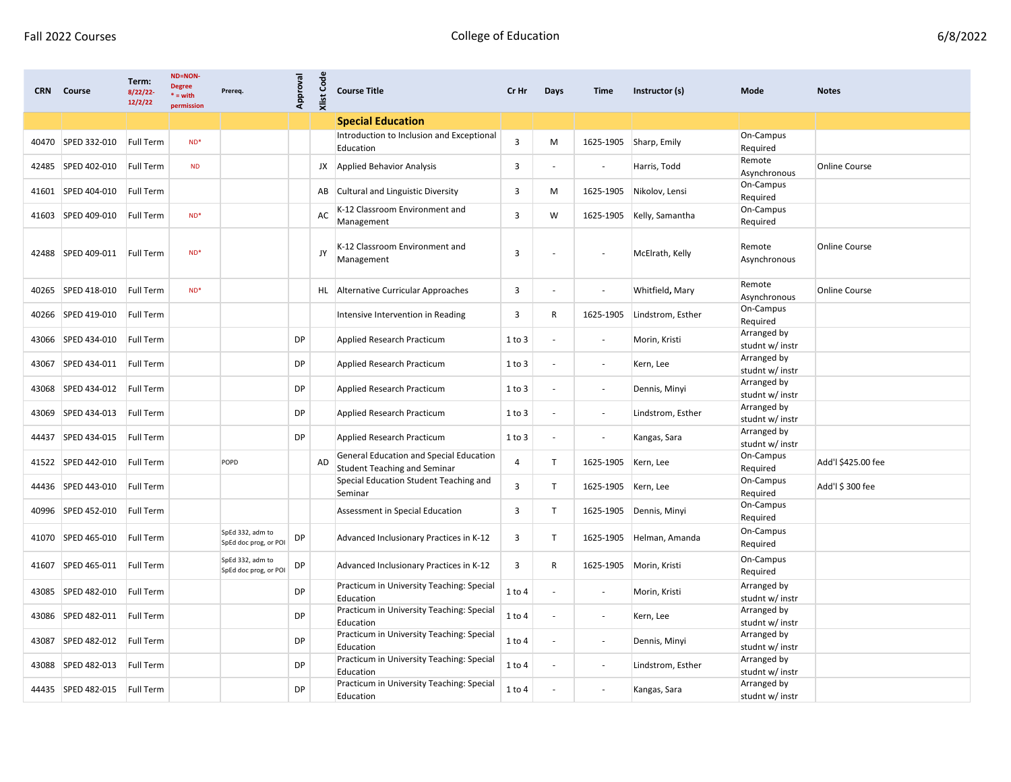| <b>CRN</b> | Course                       | Term:<br>8/22/22<br>12/2/22 | ND=NON-<br><b>Degree</b><br>$* = with$<br>permission | Prereq.                                   | Approval  | <b>Xlist Code</b> | <b>Course Title</b>                                                            | Cr Hr          | Days                     | Time                     | Instructor (s)    | Mode                           | <b>Notes</b>         |
|------------|------------------------------|-----------------------------|------------------------------------------------------|-------------------------------------------|-----------|-------------------|--------------------------------------------------------------------------------|----------------|--------------------------|--------------------------|-------------------|--------------------------------|----------------------|
|            |                              |                             |                                                      |                                           |           |                   | <b>Special Education</b>                                                       |                |                          |                          |                   |                                |                      |
| 40470      | SPED 332-010                 | <b>Full Term</b>            | $ND^*$                                               |                                           |           |                   | Introduction to Inclusion and Exceptional<br>Education                         | 3              | М                        | 1625-1905                | Sharp, Emily      | On-Campus<br>Required          |                      |
| 42485      | SPED 402-010                 | Full Term                   | <b>ND</b>                                            |                                           |           | JX                | <b>Applied Behavior Analysis</b>                                               | 3              |                          |                          | Harris, Todd      | Remote<br>Asynchronous         | <b>Online Course</b> |
| 41601      | SPED 404-010                 | <b>Full Term</b>            |                                                      |                                           |           | AB                | Cultural and Linguistic Diversity                                              | 3              | М                        | 1625-1905                | Nikolov, Lensi    | On-Campus<br>Required          |                      |
| 41603      | SPED 409-010                 | <b>Full Term</b>            | $ND^*$                                               |                                           |           | AC                | K-12 Classroom Environment and<br>Management                                   | $\overline{3}$ | W                        | 1625-1905                | Kelly, Samantha   | On-Campus<br>Required          |                      |
| 42488      | SPED 409-011                 | <b>Full Term</b>            | $ND^*$                                               |                                           |           | JY                | K-12 Classroom Environment and<br>Management                                   | 3              |                          |                          | McElrath, Kelly   | Remote<br>Asynchronous         | <b>Online Course</b> |
| 40265      | SPED 418-010                 | Full Term                   | $ND^*$                                               |                                           |           | HL.               | Alternative Curricular Approaches                                              | 3              |                          | $\overline{\phantom{a}}$ | Whitfield, Mary   | Remote<br>Asynchronous         | <b>Online Course</b> |
| 40266      | SPED 419-010                 | <b>Full Term</b>            |                                                      |                                           |           |                   | Intensive Intervention in Reading                                              | 3              | R                        | 1625-1905                | Lindstrom, Esther | On-Campus<br>Required          |                      |
| 43066      | SPED 434-010                 | Full Term                   |                                                      |                                           | DP        |                   | Applied Research Practicum                                                     | 1 to 3         |                          | $\overline{\phantom{a}}$ | Morin, Kristi     | Arranged by<br>studnt w/ instr |                      |
| 43067      | SPED 434-011                 | Full Term                   |                                                      |                                           | DP        |                   | Applied Research Practicum                                                     | 1 to 3         |                          | $\overline{\phantom{a}}$ | Kern, Lee         | Arranged by<br>studnt w/ instr |                      |
| 43068      | SPED 434-012                 | Full Term                   |                                                      |                                           | DP        |                   | Applied Research Practicum                                                     | 1 to 3         |                          | $\overline{\phantom{a}}$ | Dennis, Minyi     | Arranged by<br>studnt w/ instr |                      |
| 43069      | SPED 434-013                 | Full Term                   |                                                      |                                           | DP        |                   | Applied Research Practicum                                                     | 1 to 3         |                          | $\blacksquare$           | Lindstrom, Esther | Arranged by<br>studnt w/ instr |                      |
| 44437      | SPED 434-015                 | Full Term                   |                                                      |                                           | <b>DP</b> |                   | Applied Research Practicum                                                     | 1 to 3         |                          | $\overline{\phantom{a}}$ | Kangas, Sara      | Arranged by<br>studnt w/ instr |                      |
| 41522      | SPED 442-010                 | Full Term                   |                                                      | POPD                                      |           | <b>AD</b>         | General Education and Special Education<br><b>Student Teaching and Seminar</b> | 4              | T                        | 1625-1905                | Kern, Lee         | On-Campus<br>Required          | Add'l \$425.00 fee   |
|            | 44436 SPED 443-010           | Full Term                   |                                                      |                                           |           |                   | Special Education Student Teaching and<br>Seminar                              | 3              | T                        | 1625-1905                | Kern, Lee         | On-Campus<br>Required          | Add'l \$ 300 fee     |
| 40996      | SPED 452-010                 | <b>Full Term</b>            |                                                      |                                           |           |                   | Assessment in Special Education                                                | 3              | T                        | 1625-1905                | Dennis, Minyi     | On-Campus<br>Required          |                      |
| 41070      | SPED 465-010                 | <b>Full Term</b>            |                                                      | SpEd 332, adm to<br>SpEd doc prog, or POI | DP        |                   | Advanced Inclusionary Practices in K-12                                        | 3              | T.                       | 1625-1905                | Helman, Amanda    | On-Campus<br>Required          |                      |
|            | 41607 SPED 465-011           | Full Term                   |                                                      | SpEd 332, adm to<br>SpEd doc prog, or POI | DP        |                   | Advanced Inclusionary Practices in K-12                                        | 3              | R                        | 1625-1905                | Morin, Kristi     | On-Campus<br>Required          |                      |
|            | 43085 SPED 482-010           | Full Term                   |                                                      |                                           | <b>DP</b> |                   | Practicum in University Teaching: Special<br>Education                         | 1 to 4         |                          | $\overline{\phantom{a}}$ | Morin, Kristi     | Arranged by<br>studnt w/ instr |                      |
|            | 43086 SPED 482-011 Full Term |                             |                                                      |                                           | <b>DP</b> |                   | Practicum in University Teaching: Special<br>Education                         | 1 to 4         |                          |                          | Kern, Lee         | Arranged by<br>studnt w/ instr |                      |
|            | 43087 SPED 482-012 Full Term |                             |                                                      |                                           | DP        |                   | Practicum in University Teaching: Special<br>Education                         | $1$ to $4$     | $\overline{\phantom{a}}$ | $\overline{\phantom{a}}$ | Dennis, Minyi     | Arranged by<br>studnt w/ instr |                      |
|            | 43088 SPED 482-013           | Full Term                   |                                                      |                                           | DP        |                   | Practicum in University Teaching: Special<br>Education                         | 1 to 4         |                          | $\overline{\phantom{a}}$ | Lindstrom, Esther | Arranged by<br>studnt w/ instr |                      |
|            | 44435 SPED 482-015           | Full Term                   |                                                      |                                           | DP        |                   | Practicum in University Teaching: Special<br>Education                         | 1 to 4         | $\overline{\phantom{a}}$ | $\overline{\phantom{a}}$ | Kangas, Sara      | Arranged by<br>studnt w/ instr |                      |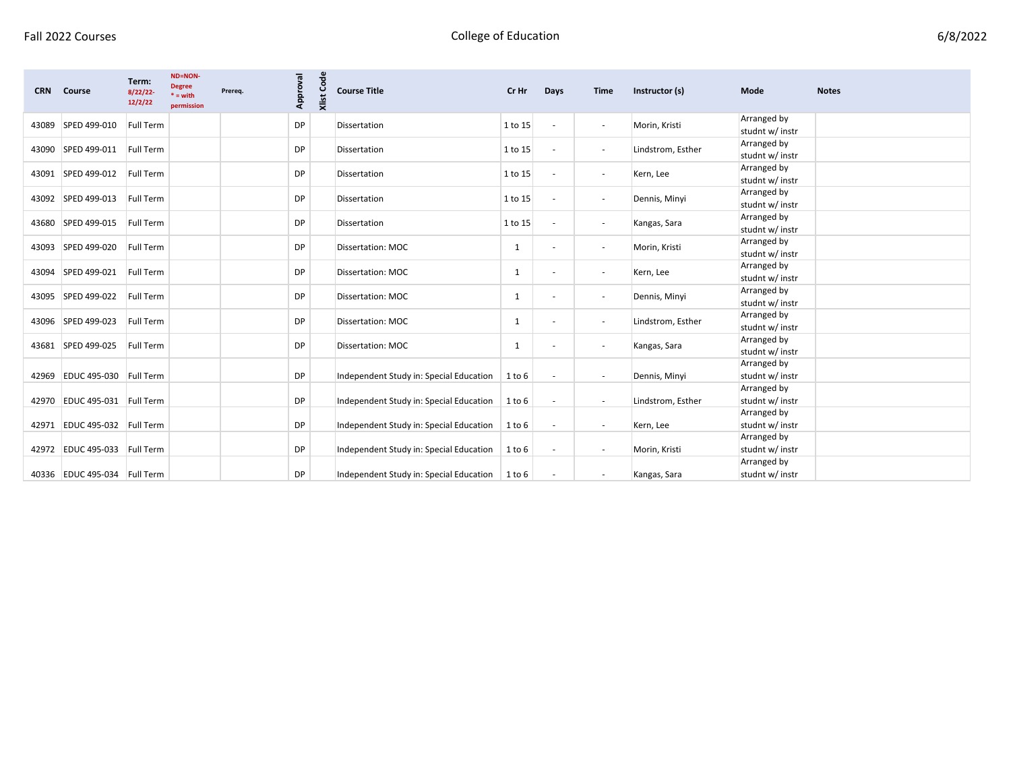| 6/8/2022 |
|----------|
|----------|

| <b>CRN</b> | Course                       | Term:<br>8/22/22<br>12/2/22 | <b>ND=NON-</b><br><b>Degree</b><br>$* = with$<br>permission | Prereq. | Approval  | Code<br>Xlist | <b>Course Title</b>                     | Cr Hr   | Days                     | <b>Time</b>              | Instructor (s)    | Mode                                          | <b>Notes</b> |
|------------|------------------------------|-----------------------------|-------------------------------------------------------------|---------|-----------|---------------|-----------------------------------------|---------|--------------------------|--------------------------|-------------------|-----------------------------------------------|--------------|
| 43089      | SPED 499-010                 | Full Term                   |                                                             |         | DP        |               | Dissertation                            | 1 to 15 | $\overline{\phantom{a}}$ | $\overline{\phantom{a}}$ | Morin, Kristi     | Arranged by<br>studnt w/ instr                |              |
|            | 43090 SPED 499-011           | Full Term                   |                                                             |         | <b>DP</b> |               | Dissertation                            | 1 to 15 | $\overline{\phantom{a}}$ | $\overline{\phantom{a}}$ | Lindstrom, Esther | Arranged by<br>studnt w/ instr                |              |
|            | 43091 SPED 499-012           | Full Term                   |                                                             |         | <b>DP</b> |               | Dissertation                            | 1 to 15 | $\overline{\phantom{a}}$ | $\sim$                   | Kern, Lee         | Arranged by<br>studnt w/ instr                |              |
|            | 43092 SPED 499-013           | Full Term                   |                                                             |         | <b>DP</b> |               | Dissertation                            | 1 to 15 |                          | $\overline{\phantom{a}}$ | Dennis, Minyi     | Arranged by<br>studnt w/ instr                |              |
|            | 43680 SPED 499-015           | Full Term                   |                                                             |         | <b>DP</b> |               | Dissertation                            | 1 to 15 | $\overline{\phantom{a}}$ | $\overline{\phantom{a}}$ | Kangas, Sara      | Arranged by<br>studnt w/ instr                |              |
|            | 43093 SPED 499-020           | Full Term                   |                                                             |         | <b>DP</b> |               | Dissertation: MOC                       | 1       |                          | $\overline{\phantom{a}}$ | Morin, Kristi     | Arranged by<br>studnt w/ instr                |              |
|            | 43094 SPED 499-021           | <b>Full Term</b>            |                                                             |         | <b>DP</b> |               | Dissertation: MOC                       | 1       |                          | $\overline{\phantom{a}}$ | Kern, Lee         | Arranged by<br>studnt w/ instr                |              |
|            | 43095 SPED 499-022           | Full Term                   |                                                             |         | <b>DP</b> |               | Dissertation: MOC                       | 1       |                          | $\overline{\phantom{a}}$ | Dennis, Minyi     | Arranged by<br>studnt w/ instr                |              |
|            | 43096 SPED 499-023           | Full Term                   |                                                             |         | DP        |               | Dissertation: MOC                       | 1       |                          | $\overline{\phantom{a}}$ | Lindstrom, Esther | Arranged by<br>studnt w/ instr                |              |
|            | 43681 SPED 499-025           | Full Term                   |                                                             |         | DP        |               | Dissertation: MOC                       | 1       |                          | $\overline{\phantom{a}}$ | Kangas, Sara      | Arranged by<br>studnt w/ instr<br>Arranged by |              |
|            | 42969 EDUC 495-030 Full Term |                             |                                                             |         | <b>DP</b> |               | Independent Study in: Special Education | 1 to 6  | $\overline{\phantom{a}}$ | $\overline{\phantom{a}}$ | Dennis, Minyi     | studnt w/ instr<br>Arranged by                |              |
| 42970      | EDUC 495-031 Full Term       |                             |                                                             |         | <b>DP</b> |               | Independent Study in: Special Education | 1 to 6  |                          | $\overline{\phantom{a}}$ | Lindstrom, Esther | studnt w/ instr<br>Arranged by                |              |
|            | 42971 EDUC 495-032 Full Term |                             |                                                             |         | <b>DP</b> |               | Independent Study in: Special Education | 1 to 6  | $\overline{\phantom{a}}$ | $\overline{\phantom{a}}$ | Kern, Lee         | studnt w/ instr<br>Arranged by                |              |
|            | 42972 EDUC 495-033 Full Term |                             |                                                             |         | <b>DP</b> |               | Independent Study in: Special Education | 1 to 6  | $\overline{\phantom{a}}$ | $\overline{\phantom{a}}$ | Morin, Kristi     | studnt w/ instr<br>Arranged by                |              |
|            | 40336 EDUC 495-034 Full Term |                             |                                                             |         | DP        |               | Independent Study in: Special Education | 1 to 6  |                          | $\overline{\phantom{a}}$ | Kangas, Sara      | studnt w/ instr                               |              |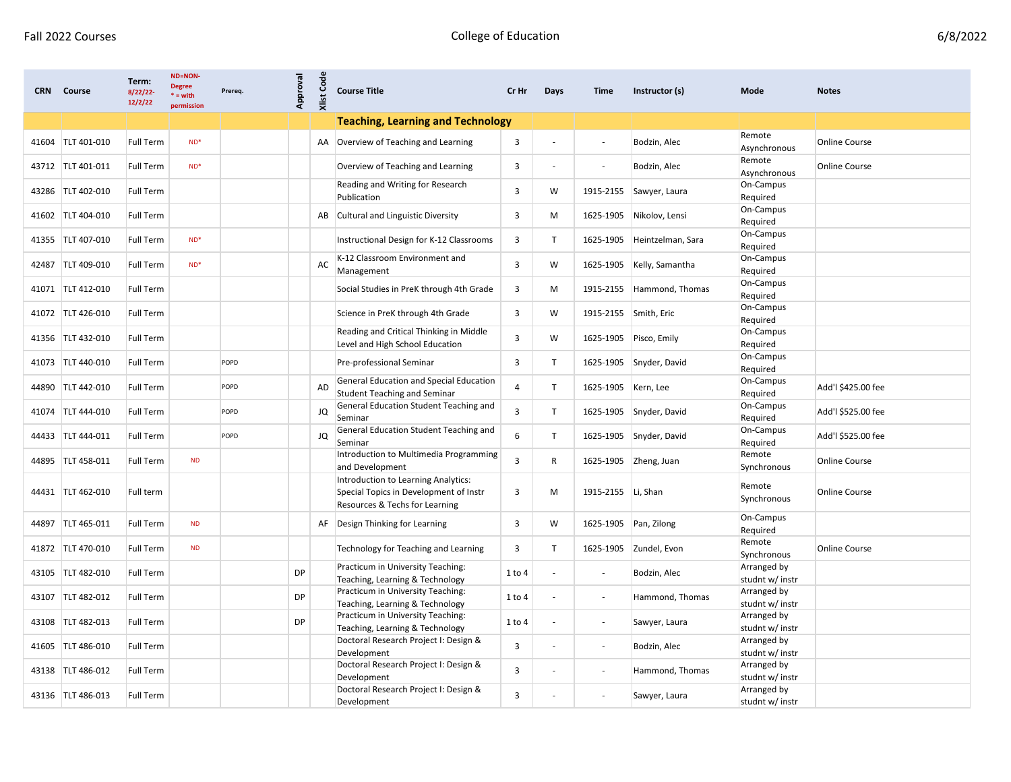| <b>CRN</b> | Course            | Term:<br>$8/22/22$ -<br>12/2/22 | <b>ND=NON-</b><br><b>Degree</b><br>$* = with$<br>permission | Prereq. | Approval  | Code<br>Xlist | <b>Course Title</b>                                                                                             | Cr Hr                   | Days                     | Time                     | Instructor (s)        | Mode                           | <b>Notes</b>         |
|------------|-------------------|---------------------------------|-------------------------------------------------------------|---------|-----------|---------------|-----------------------------------------------------------------------------------------------------------------|-------------------------|--------------------------|--------------------------|-----------------------|--------------------------------|----------------------|
|            |                   |                                 |                                                             |         |           |               | <b>Teaching, Learning and Technology</b>                                                                        |                         |                          |                          |                       |                                |                      |
| 41604      | TLT 401-010       | <b>Full Term</b>                | $ND^*$                                                      |         |           | AA            | Overview of Teaching and Learning                                                                               | $\mathbf{3}$            |                          |                          | Bodzin, Alec          | Remote<br>Asynchronous         | <b>Online Course</b> |
|            | 43712 TLT 401-011 | <b>Full Term</b>                | $ND^*$                                                      |         |           |               | Overview of Teaching and Learning                                                                               | 3                       |                          |                          | Bodzin, Alec          | Remote<br>Asynchronous         | <b>Online Course</b> |
| 43286      | TLT 402-010       | <b>Full Term</b>                |                                                             |         |           |               | Reading and Writing for Research<br>Publication                                                                 | 3                       | W                        | 1915-2155                | Sawyer, Laura         | On-Campus<br>Required          |                      |
|            | 41602 TLT 404-010 | Full Term                       |                                                             |         |           | AB            | Cultural and Linguistic Diversity                                                                               | 3                       | М                        | 1625-1905                | Nikolov, Lensi        | On-Campus<br>Required          |                      |
|            | 41355 TLT 407-010 | <b>Full Term</b>                | $ND^*$                                                      |         |           |               | Instructional Design for K-12 Classrooms                                                                        | 3                       | т                        | 1625-1905                | Heintzelman, Sara     | On-Campus<br>Required          |                      |
| 42487      | TLT 409-010       | <b>Full Term</b>                | $ND^*$                                                      |         |           | AC            | K-12 Classroom Environment and<br>Management                                                                    | 3                       | W                        | 1625-1905                | Kelly, Samantha       | On-Campus<br>Required          |                      |
|            | 41071 TLT 412-010 | <b>Full Term</b>                |                                                             |         |           |               | Social Studies in PreK through 4th Grade                                                                        | 3                       | М                        | 1915-2155                | Hammond, Thomas       | On-Campus<br>Required          |                      |
|            | 41072 TLT 426-010 | <b>Full Term</b>                |                                                             |         |           |               | Science in PreK through 4th Grade                                                                               | 3                       | W                        | 1915-2155 Smith, Eric    |                       | On-Campus<br>Required          |                      |
|            | 41356 TLT 432-010 | <b>Full Term</b>                |                                                             |         |           |               | Reading and Critical Thinking in Middle<br>Level and High School Education                                      | 3                       | W                        | 1625-1905                | Pisco, Emily          | On-Campus<br>Required          |                      |
|            | 41073 TLT 440-010 | <b>Full Term</b>                |                                                             | POPD    |           |               | Pre-professional Seminar                                                                                        | 3                       | T                        | 1625-1905                | Snyder, David         | On-Campus<br>Required          |                      |
|            | 44890 TLT 442-010 | <b>Full Term</b>                |                                                             | POPD    |           | AD            | General Education and Special Education<br><b>Student Teaching and Seminar</b>                                  | 4                       | T                        | 1625-1905                | Kern, Lee             | On-Campus<br>Required          | Add'l \$425.00 fee   |
| 41074      | TLT 444-010       | <b>Full Term</b>                |                                                             | POPD    |           | JQ            | General Education Student Teaching and<br>Seminar                                                               | 3                       | Т                        | 1625-1905                | Snyder, David         | On-Campus<br>Required          | Add'l \$525.00 fee   |
|            | 44433 TLT 444-011 | <b>Full Term</b>                |                                                             | POPD    |           | JQ            | General Education Student Teaching and<br>Seminar                                                               | 6                       | T                        | 1625-1905                | Snyder, David         | On-Campus<br>Required          | Add'l \$525.00 fee   |
|            | 44895 TLT 458-011 | <b>Full Term</b>                | <b>ND</b>                                                   |         |           |               | Introduction to Multimedia Programming<br>and Development                                                       | 3                       | R                        |                          | 1625-1905 Zheng, Juan | Remote<br>Synchronous          | <b>Online Course</b> |
|            | 44431 TLT 462-010 | Full term                       |                                                             |         |           |               | Introduction to Learning Analytics:<br>Special Topics in Development of Instr<br>Resources & Techs for Learning | 3                       | М                        | 1915-2155   Li, Shan     |                       | Remote<br>Synchronous          | <b>Online Course</b> |
|            | 44897 TLT 465-011 | <b>Full Term</b>                | <b>ND</b>                                                   |         |           | AF            | Design Thinking for Learning                                                                                    | 3                       | W                        | 1625-1905                | Pan, Zilong           | On-Campus<br>Required          |                      |
|            | 41872 TLT 470-010 | <b>Full Term</b>                | <b>ND</b>                                                   |         |           |               | Technology for Teaching and Learning                                                                            | 3                       | T.                       | 1625-1905                | Zundel, Evon          | Remote<br>Synchronous          | <b>Online Course</b> |
|            | 43105 TLT 482-010 | <b>Full Term</b>                |                                                             |         | DP        |               | Practicum in University Teaching:<br>Teaching, Learning & Technology                                            | 1 to 4                  |                          |                          | Bodzin, Alec          | Arranged by<br>studnt w/ instr |                      |
|            | 43107 TLT 482-012 | Full Term                       |                                                             |         | DP        |               | Practicum in University Teaching:<br>Teaching, Learning & Technology                                            | 1 to 4                  |                          |                          | Hammond, Thomas       | Arranged by<br>studnt w/ instr |                      |
|            | 43108 TLT 482-013 | Full Term                       |                                                             |         | <b>DP</b> |               | Practicum in University Teaching:<br>Teaching, Learning & Technology                                            | 1 to 4                  |                          |                          | Sawyer, Laura         | Arranged by<br>studnt w/ instr |                      |
|            | 41605 TLT 486-010 | Full Term                       |                                                             |         |           |               | Doctoral Research Project I: Design &<br>Development                                                            | $\overline{3}$          | $\overline{\phantom{a}}$ | $\overline{\phantom{a}}$ | Bodzin, Alec          | Arranged by<br>studnt w/ instr |                      |
|            | 43138 TLT 486-012 | Full Term                       |                                                             |         |           |               | Doctoral Research Project I: Design &<br>Development                                                            | $\overline{\mathbf{3}}$ |                          | $\overline{\phantom{a}}$ | Hammond, Thomas       | Arranged by<br>studnt w/ instr |                      |
|            | 43136 TLT 486-013 | Full Term                       |                                                             |         |           |               | Doctoral Research Project I: Design &<br>Development                                                            | 3                       |                          |                          | Sawyer, Laura         | Arranged by<br>studnt w/ instr |                      |